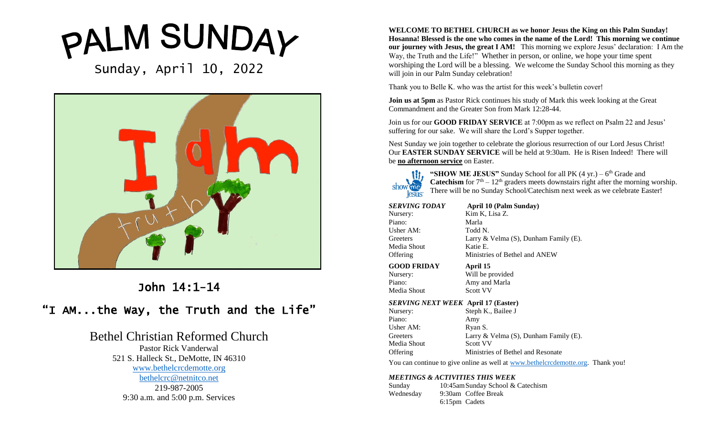# PALM SUNDAY

Sunday, April 10, 2022



# John 14:1-14

# "I AM...the Way, the Truth and the Life"

# Bethel Christian Reformed Church

Pastor Rick Vanderwal 521 S. Halleck St., DeMotte, IN 46310 [www.bethelcrcdemotte.org](http://www.bethelcrcdemotte.org/) [bethelcrc@netnitco.net](mailto:bethelcrc@netnitco.net) 219-987-2005 9:30 a.m. and 5:00 p.m. Services

**WELCOME TO BETHEL CHURCH as we honor Jesus the King on this Palm Sunday! Hosanna! Blessed is the one who comes in the name of the Lord! This morning we continue our journey with Jesus, the great I AM!** This morning we explore Jesus' declaration: I Am the Way, the Truth and the Life!" Whether in person, or online, we hope your time spent worshiping the Lord will be a blessing. We welcome the Sunday School this morning as they will join in our Palm Sunday celebration!

Thank you to Belle K. who was the artist for this week's bulletin cover!

**Join us at 5pm** as Pastor Rick continues his study of Mark this week looking at the Great Commandment and the Greater Son from Mark 12:28-44.

Join us for our **GOOD FRIDAY SERVICE** at 7:00pm as we reflect on Psalm 22 and Jesus' suffering for our sake. We will share the Lord's Supper together.

Nest Sunday we join together to celebrate the glorious resurrection of our Lord Jesus Christ! Our **EASTER SUNDAY SERVICE** will be held at 9:30am. He is Risen Indeed! There will be **no afternoon service** on Easter.



"SHOW ME JESUS" Sunday School for all PK (4 yr.) – 6<sup>th</sup> Grade and **Catechism** for  $7<sup>th</sup> - 12<sup>th</sup>$  graders meets downstairs right after the morning worship. There will be no Sunday School/Catechism next week as we celebrate Easter!

| SERVING TODAY                              | April 10 (Palm Sunday)                                                                  |
|--------------------------------------------|-----------------------------------------------------------------------------------------|
| Nursery:                                   | Kim K, Lisa Z.                                                                          |
| Piano:                                     | Marla                                                                                   |
| Usher AM:                                  | Todd N.                                                                                 |
| Greeters                                   | Larry & Velma $(S)$ , Dunham Family $(E)$ .                                             |
| Media Shout                                | Katie E.                                                                                |
| Offering                                   | Ministries of Bethel and ANEW                                                           |
| GOOD FRIDAY                                | April 15                                                                                |
| Nursery:                                   | Will be provided                                                                        |
| Piano:                                     | Amy and Marla                                                                           |
| Media Shout                                | <b>Scott VV</b>                                                                         |
| <b>SERVING NEXT WEEK April 17 (Easter)</b> |                                                                                         |
| Nursery:                                   | Steph K., Bailee J                                                                      |
| Piano:                                     | Amy                                                                                     |
| Usher AM:                                  | Ryan S.                                                                                 |
| Greeters                                   | Larry & Velma $(S)$ , Dunham Family $(E)$ .                                             |
| Media Shout                                | Scott VV                                                                                |
| Offering                                   | Ministries of Bethel and Resonate                                                       |
|                                            | You can continue to give online as well at <b>www.bethelcrcdemotte.org</b> . Thank you! |
| MEETINGS & ACTIVITIES THIS WEEK            |                                                                                         |

## *MEETINGS & ACTIVITIES THIS WEEK*

Sunday 10:45amSunday School & Catechism Wednesday 9:30am Coffee Break 6:15pm Cadets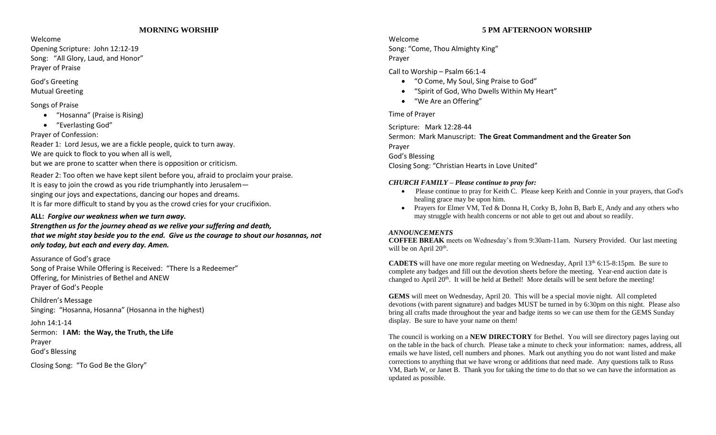## **MORNING WORSHIP**

Welcome

Opening Scripture: John 12:12-19 Song: "All Glory, Laud, and Honor" Prayer of Praise

# God's Greeting

## Mutual Greeting

# Songs of Praise

- "Hosanna" (Praise is Rising)
- "Everlasting God"

Prayer of Confession:

Reader 1: Lord Jesus, we are a fickle people, quick to turn away. We are quick to flock to you when all is well, but we are prone to scatter when there is opposition or criticism.

Reader 2: Too often we have kept silent before you, afraid to proclaim your praise. It is easy to join the crowd as you ride triumphantly into Jerusalem singing our joys and expectations, dancing our hopes and dreams. It is far more difficult to stand by you as the crowd cries for your crucifixion.

# **ALL:** *Forgive our weakness when we turn away.*

# *Strengthen us for the journey ahead as we relive your suffering and death, that we might stay beside you to the end. Give us the courage to shout our hosannas, not only today, but each and every day. Amen.*

Assurance of God's grace Song of Praise While Offering is Received: "There Is a Redeemer" Offering, for Ministries of Bethel and ANEW Prayer of God's People

Children's Message Singing: "Hosanna, Hosanna" (Hosanna in the highest)

John 14:1-14 Sermon: **I AM: the Way, the Truth, the Life** Prayer God's Blessing

Closing Song: "To God Be the Glory"

# **5 PM AFTERNOON WORSHIP**

# Welcome

Song: "Come, Thou Almighty King" Prayer

Call to Worship – Psalm 66:1-4

- "O Come, My Soul, Sing Praise to God"
- "Spirit of God, Who Dwells Within My Heart"
- "We Are an Offering"

# Time of Prayer

Scripture: Mark 12:28-44 Sermon: Mark Manuscript: **The Great Commandment and the Greater Son** Prayer God's Blessing Closing Song: "Christian Hearts in Love United"

# *CHURCH FAMILY – Please continue to pray for:*

- Please continue to pray for Keith C. Please keep Keith and Connie in your prayers, that God's healing grace may be upon him.
- Prayers for Elmer VM, Ted & Donna H, Corky B, John B, Barb E, Andy and any others who may struggle with health concerns or not able to get out and about so readily.

# *ANNOUNCEMENTS*

**COFFEE BREAK** meets on Wednesday's from 9:30am-11am. Nursery Provided. Our last meeting will be on April  $20<sup>th</sup>$ .

**CADETS** will have one more regular meeting on Wednesday, April  $13<sup>th</sup> 6:15-8:15pm$ . Be sure to complete any badges and fill out the devotion sheets before the meeting. Year-end auction date is changed to April 20<sup>th</sup>. It will be held at Bethel! More details will be sent before the meeting!

**GEMS** will meet on Wednesday, April 20. This will be a special movie night. All completed devotions (with parent signature) and badges MUST be turned in by 6:30pm on this night. Please also bring all crafts made throughout the year and badge items so we can use them for the GEMS Sunday display. Be sure to have your name on them!

The council is working on a **NEW DIRECTORY** for Bethel. You will see directory pages laying out on the table in the back of church. Please take a minute to check your information: names, address, all emails we have listed, cell numbers and phones. Mark out anything you do not want listed and make corrections to anything that we have wrong or additions that need made. Any questions talk to Russ VM, Barb W, or Janet B. Thank you for taking the time to do that so we can have the information as updated as possible.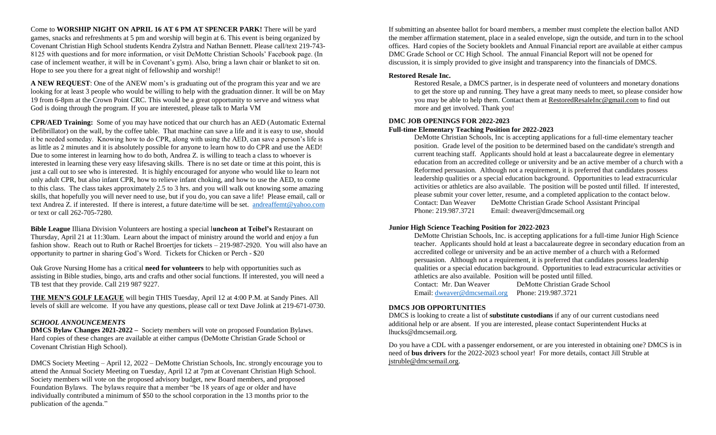Come to **WORSHIP NIGHT ON APRIL 16 AT 6 PM AT SPENCER PARK!** There will be yard games, snacks and refreshments at 5 pm and worship will begin at 6. This event is being organized by Covenant Christian High School students Kendra Zylstra and Nathan Bennett. Please call/text 219-743- 8125 with questions and for more information, or visit DeMotte Christian Schools' Facebook page. (In case of inclement weather, it will be in Covenant's gym). Also, bring a lawn chair or blanket to sit on. Hope to see you there for a great night of fellowship and worship!!

**A NEW REQUEST**: One of the ANEW mom's is graduating out of the program this year and we are looking for at least 3 people who would be willing to help with the graduation dinner. It will be on May 19 from 6-8pm at the Crown Point CRC. This would be a great opportunity to serve and witness what God is doing through the program. If you are interested, please talk to Marla VM

**CPR/AED Training:** Some of you may have noticed that our church has an AED (Automatic External Defibrillator) on the wall, by the coffee table. That machine can save a life and it is easy to use, should it be needed someday. Knowing how to do CPR, along with using the AED, can save a person's life is as little as 2 minutes and it is absolutely possible for anyone to learn how to do CPR and use the AED! Due to some interest in learning how to do both, Andrea Z. is willing to teach a class to whoever is interested in learning these very easy lifesaving skills. There is no set date or time at this point, this is just a call out to see who is interested. It is highly encouraged for anyone who would like to learn not only adult CPR, but also infant CPR, how to relieve infant choking, and how to use the AED, to come to this class. The class takes approximately 2.5 to 3 hrs. and you will walk out knowing some amazing skills, that hopefully you will never need to use, but if you do, you can save a life! Please email, call or text Andrea Z. if interested. If there is interest, a future date/time will be set. [andreaffemt@yahoo.com](mailto:andreaffemt@yahoo.com) or text or call 262-705-7280.

**Bible League** Illiana Division Volunteers are hosting a special l**uncheon at Teibel's** Restaurant on Thursday, April 21 at 11:30am. Learn about the impact of ministry around the world and enjoy a fun fashion show. Reach out to Ruth or Rachel Broertjes for tickets – 219-987-2920. You will also have an opportunity to partner in sharing God's Word. Tickets for Chicken or Perch - \$20

Oak Grove Nursing Home has a critical **need for volunteers** to help with opportunities such as assisting in Bible studies, bingo, arts and crafts and other social functions. If interested, you will need a TB test that they provide. Call 219 987 9227.

**THE MEN'S GOLF LEAGUE** will begin THIS Tuesday, April 12 at 4:00 P.M. at Sandy Pines. All levels of skill are welcome. If you have any questions, please call or text Dave Jolink at 219-671-0730.

#### *SCHOOL ANNOUNCEMENTS*

**DMCS Bylaw Changes 2021-2022 –** Society members will vote on proposed Foundation Bylaws. Hard copies of these changes are available at either campus (DeMotte Christian Grade School or Covenant Christian High School).

DMCS Society Meeting – April 12, 2022 – DeMotte Christian Schools, Inc. strongly encourage you to attend the Annual Society Meeting on Tuesday, April 12 at 7pm at Covenant Christian High School. Society members will vote on the proposed advisory budget, new Board members, and proposed Foundation Bylaws. The bylaws require that a member "be 18 years of age or older and have individually contributed a minimum of \$50 to the school corporation in the 13 months prior to the publication of the agenda."

If submitting an absentee ballot for board members, a member must complete the election ballot AND the member affirmation statement, place in a sealed envelope, sign the outside, and turn in to the school offices. Hard copies of the Society booklets and Annual Financial report are available at either campus DMC Grade School or CC High School. The annual Financial Report will not be opened for discussion, it is simply provided to give insight and transparency into the financials of DMCS.

### **Restored Resale Inc.**

Restored Resale, a DMCS partner, is in desperate need of volunteers and monetary donations to get the store up and running. They have a great many needs to meet, so please consider how you may be able to help them. Contact them at [RestoredResaleInc@gmail.com](mailto:RestoredResaleInc@gmail.com) to find out more and get involved. Thank you!

#### **DMC JOB OPENINGS FOR 2022-2023**

#### **Full-time Elementary Teaching Position for 2022-2023**

DeMotte Christian Schools, Inc is accepting applications for a full-time elementary teacher position. Grade level of the position to be determined based on the candidate's strength and current teaching staff. Applicants should hold at least a baccalaureate degree in elementary education from an accredited college or university and be an active member of a church with a Reformed persuasion. Although not a requirement, it is preferred that candidates possess leadership qualities or a special education background. Opportunities to lead extracurricular activities or athletics are also available. The position will be posted until filled. If interested, please submit your cover letter, resume, and a completed application to the contact below. Contact: Dan Weaver DeMotte Christian Grade School Assistant Principal Phone: 219.987.3721 Email: dweaver@dmcsemail.org

#### **Junior High Science Teaching Position for 2022-2023**

DeMotte Christian Schools, Inc. is accepting applications for a full-time Junior High Science teacher. Applicants should hold at least a baccalaureate degree in secondary education from an accredited college or university and be an active member of a church with a Reformed persuasion. Although not a requirement, it is preferred that candidates possess leadership qualities or a special education background. Opportunities to lead extracurricular activities or athletics are also available. Position will be posted until filled. Contact: Mr. Dan Weaver DeMotte Christian Grade School

Email: [dweaver@dmcsemail.org](mailto:dweaver@dmcsemail.org) Phone: 219.987.3721

#### **DMCS JOB OPPORTUNITIES**

DMCS is looking to create a list of **substitute custodians** if any of our current custodians need additional help or are absent. If you are interested, please contact Superintendent Hucks at lhucks@dmcsemail.org.

Do you have a CDL with a passenger endorsement, or are you interested in obtaining one? DMCS is in need of **bus drivers** for the 2022-2023 school year! For more details, contact Jill Struble at [jstruble@dmcsemail.org.](mailto:jstruble@dmcsemail.org)